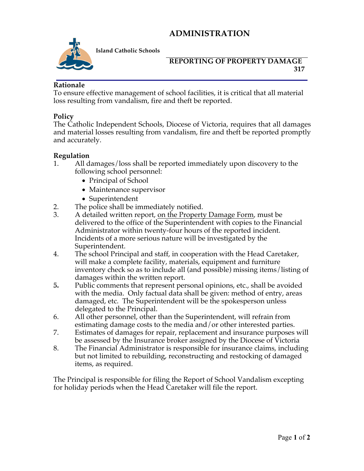# **ADMINISTRATION**



**Island Catholic Schools** 

#### **REPORTING OF PROPERTY DAMAGE 317**

#### **Rationale**

To ensure effective management of school facilities, it is critical that all material loss resulting from vandalism, fire and theft be reported.

## **Policy**

The Catholic Independent Schools, Diocese of Victoria, requires that all damages and material losses resulting from vandalism, fire and theft be reported promptly and accurately.

## **Regulation**

- 1. All damages/loss shall be reported immediately upon discovery to the following school personnel:
	- Principal of School
	- Maintenance supervisor
	- Superintendent
- 2. The police shall be immediately notified.
- 3. A detailed written report, on the Property Damage Form, must be delivered to the office of the Superintendent with copies to the Financial Administrator within twenty-four hours of the reported incident. Incidents of a more serious nature will be investigated by the Superintendent.
- 4. The school Principal and staff, in cooperation with the Head Caretaker, will make a complete facility, materials, equipment and furniture inventory check so as to include all (and possible) missing items/listing of damages within the written report.
- 5. Public comments that represent personal opinions, etc., shall be avoided with the media. Only factual data shall be given: method of entry, areas damaged, etc. The Superintendent will be the spokesperson unless delegated to the Principal.
- 6. All other personnel, other than the Superintendent, will refrain from estimating damage costs to the media and/or other interested parties.
- 7. Estimates of damages for repair, replacement and insurance purposes will be assessed by the Insurance broker assigned by the Diocese of Victoria
- 8. The Financial Administrator is responsible for insurance claims, including but not limited to rebuilding, reconstructing and restocking of damaged items, as required.

The Principal is responsible for filing the Report of School Vandalism excepting for holiday periods when the Head Caretaker will file the report.